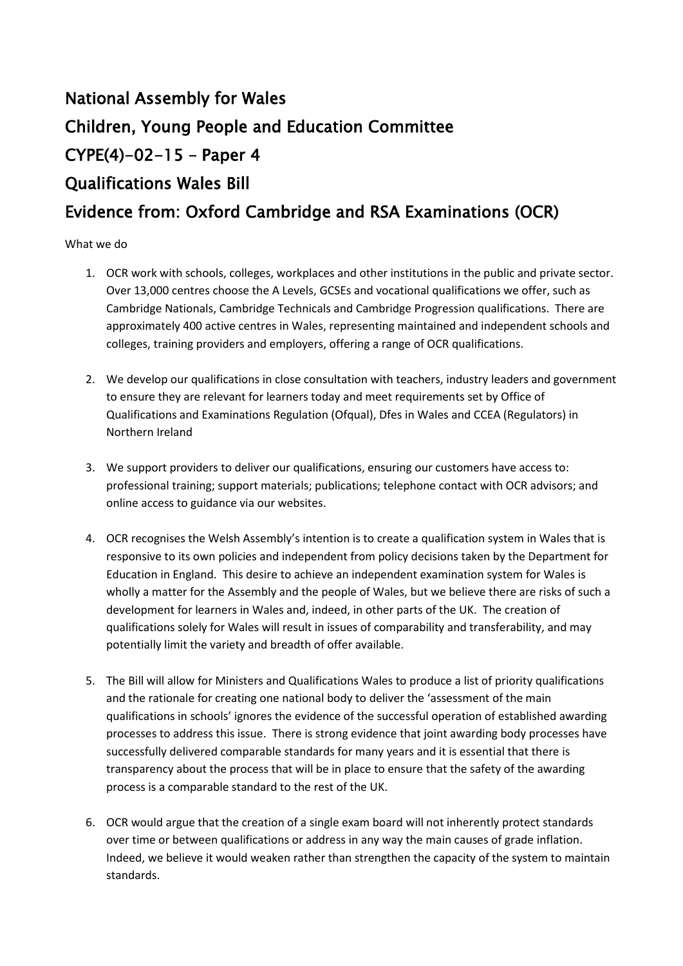## National Assembly for Wales Children, Young People and Education Committee CYPE(4)-02-15 – Paper 4 Qualifications Wales Bill Evidence from: Oxford Cambridge and RSA Examinations (OCR)

What we do

- 1. OCR work with schools, colleges, workplaces and other institutions in the public and private sector. Over 13,000 centres choose the A Levels, GCSEs and vocational qualifications we offer, such as Cambridge Nationals, Cambridge Technicals and Cambridge Progression qualifications. There are approximately 400 active centres in Wales, representing maintained and independent schools and colleges, training providers and employers, offering a range of OCR qualifications.
- 2. We develop our qualifications in close consultation with teachers, industry leaders and government to ensure they are relevant for learners today and meet requirements set by Office of Qualifications and Examinations Regulation (Ofqual), Dfes in Wales and CCEA (Regulators) in Northern Ireland
- 3. We support providers to deliver our qualifications, ensuring our customers have access to: professional training; support materials; publications; telephone contact with OCR advisors; and online access to guidance via our websites.
- 4. OCR recognises the Welsh Assembly's intention is to create a qualification system in Wales that is responsive to its own policies and independent from policy decisions taken by the Department for Education in England. This desire to achieve an independent examination system for Wales is wholly a matter for the Assembly and the people of Wales, but we believe there are risks of such a development for learners in Wales and, indeed, in other parts of the UK. The creation of qualifications solely for Wales will result in issues of comparability and transferability, and may potentially limit the variety and breadth of offer available.
- 5. The Bill will allow for Ministers and Qualifications Wales to produce a list of priority qualifications and the rationale for creating one national body to deliver the 'assessment of the main qualifications in schools' ignores the evidence of the successful operation of established awarding processes to address this issue. There is strong evidence that joint awarding body processes have successfully delivered comparable standards for many years and it is essential that there is transparency about the process that will be in place to ensure that the safety of the awarding process is a comparable standard to the rest of the UK.
- 6. OCR would argue that the creation of a single exam board will not inherently protect standards over time or between qualifications or address in any way the main causes of grade inflation. Indeed, we believe it would weaken rather than strengthen the capacity of the system to maintain standards.